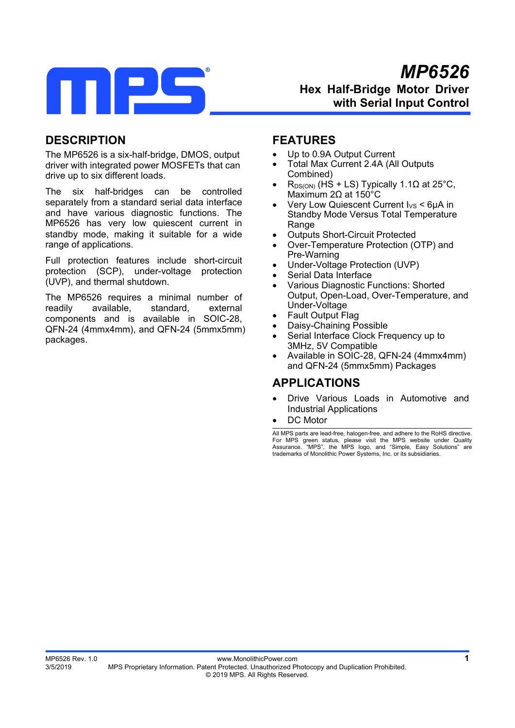

# **DESCRIPTION**

The MP6526 is a six-half-bridge, DMOS, output driver with integrated power MOSFETs that can drive up to six different loads.

The six half-bridges can be controlled separately from a standard serial data interface and have various diagnostic functions. The MP6526 has very low quiescent current in standby mode, making it suitable for a wide range of applications.

Full protection features include short-circuit protection (SCP), under-voltage protection (UVP), and thermal shutdown.

The MP6526 requires a minimal number of readily available, standard, external components and is available in SOIC-28, QFN-24 (4mmx4mm), and QFN-24 (5mmx5mm) packages.

## **FEATURES**

- Up to 0.9A Output Current
- Total Max Current 2.4A (All Outputs Combined)
- $R_{DS(ON)}$  (HS + LS) Typically 1.1 $\Omega$  at 25°C, Maximum 2Ω at 150°C
- Very Low Quiescent Current I<sub>VS</sub> < 6μA in Standby Mode Versus Total Temperature **Range**
- Outputs Short-Circuit Protected
- Over-Temperature Protection (OTP) and Pre-Warning
- Under-Voltage Protection (UVP)
- Serial Data Interface
- Various Diagnostic Functions: Shorted Output, Open-Load, Over-Temperature, and Under-Voltage
- Fault Output Flag
- Daisy-Chaining Possible
- Serial Interface Clock Frequency up to 3MHz, 5V Compatible
- Available in SOIC-28, QFN-24 (4mmx4mm) and QFN-24 (5mmx5mm) Packages

# **APPLICATIONS**

- Drive Various Loads in Automotive and Industrial Applications
- DC Motor

All MPS parts are lead-free, halogen-free, and adhere to the RoHS directive. For MPS green status, please visit the MPS website under Quality Assurance. "MPS", the MPS logo, and "Simple, Easy Solutions" are trademarks of Monolithic Power Systems, Inc. or its subsidiaries.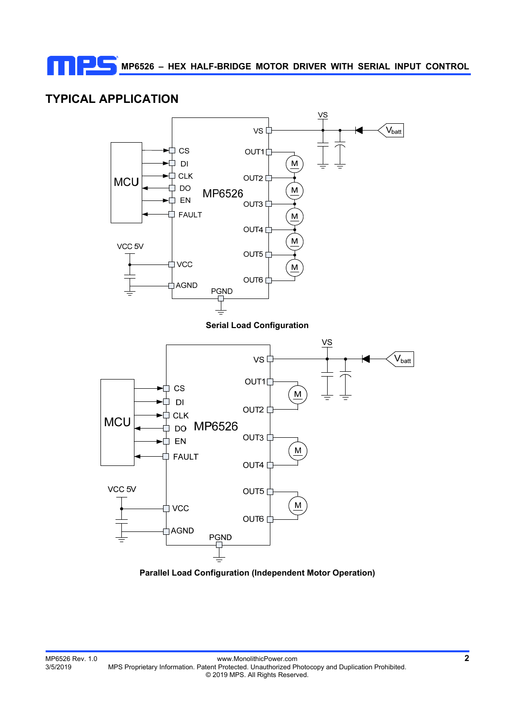# **TYPICAL APPLICATION**



**Parallel Load Configuration (Independent Motor Operation)**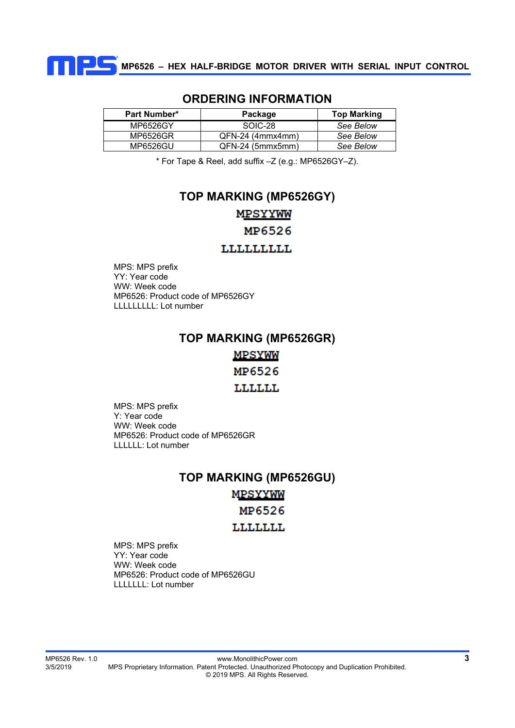

| Part Number* | Package            | <b>Top Marking</b> |
|--------------|--------------------|--------------------|
| MP6526GY     | SOIC-28            | See Below          |
| MP6526GR     | $QFN-24$ (4mmx4mm) | See Below          |
| MP6526GU     | QFN-24 (5mmx5mm)   | See Below          |

## **ORDERING INFORMATION**

\* For Tape & Reel, add suffix –Z (e.g.: MP6526GY–Z).

# **TOP MARKING (MP6526GY) MPSYYWW** MP6526

## **LLLLLLLLL**

MPS: MPS prefix YY: Year code WW: Week code MP6526: Product code of MP6526GY LLLLLLLLL: Lot number

## **TOP MARKING (MP6526GR)**

**MPSYWW** 

MP6526

## **LLLLLL**

MPS: MPS prefix Y: Year code WW: Week code MP6526: Product code of MP6526GR LLLLLL: Lot number

## **TOP MARKING (MP6526GU)**

**MPSYYWW** 

MP6526

**LLLLLLL** 

MPS: MPS prefix YY: Year code WW: Week code MP6526: Product code of MP6526GU LLLLLLL: Lot number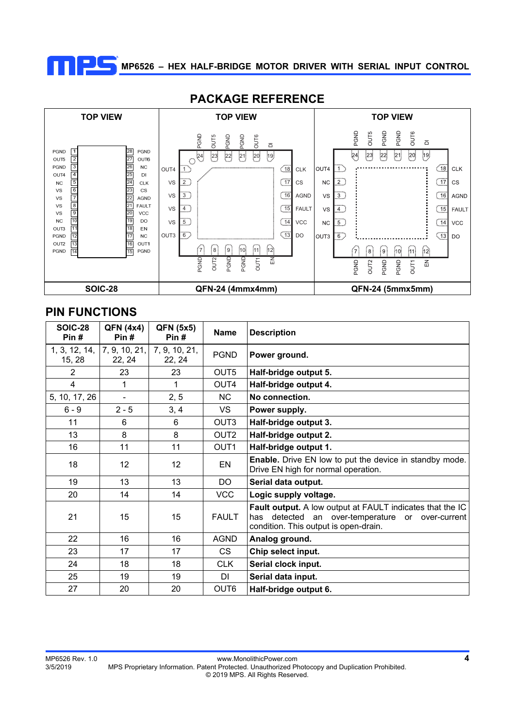



## **PACKAGE REFERENCE**

# **PIN FUNCTIONS**

| <b>SOIC-28</b><br>Pin#  | <b>QFN (4x4)</b><br>Pin# | <b>QFN (5x5)</b><br>Pin# | <b>Name</b>      | <b>Description</b>                                                                                                                                               |
|-------------------------|--------------------------|--------------------------|------------------|------------------------------------------------------------------------------------------------------------------------------------------------------------------|
| 1, 3, 12, 14,<br>15, 28 | 7, 9, 10, 21,<br>22, 24  | 7, 9, 10, 21,<br>22, 24  | <b>PGND</b>      | Power ground.                                                                                                                                                    |
| $\overline{2}$          | 23                       | 23                       | OUT5             | Half-bridge output 5.                                                                                                                                            |
| 4                       | 1                        | 1                        | OUT <sub>4</sub> | Half-bridge output 4.                                                                                                                                            |
| 5, 10, 17, 26           | L,                       | 2, 5                     | NC.              | No connection.                                                                                                                                                   |
| $6 - 9$                 | $2 - 5$                  | 3, 4                     | VS.              | Power supply.                                                                                                                                                    |
| 11                      | 6                        | 6                        | OUT3             | Half-bridge output 3.                                                                                                                                            |
| 13                      | 8                        | 8                        | OUT <sub>2</sub> | Half-bridge output 2.                                                                                                                                            |
| 16                      | 11                       | 11                       | OUT <sub>1</sub> | Half-bridge output 1.                                                                                                                                            |
| 18                      | 12                       | 12 <sup>2</sup>          | EN               | Enable. Drive EN low to put the device in standby mode.<br>Drive EN high for normal operation.                                                                   |
| 19                      | 13                       | 13                       | <b>DO</b>        | Serial data output.                                                                                                                                              |
| 20                      | 14                       | 14                       | <b>VCC</b>       | Logic supply voltage.                                                                                                                                            |
| 21                      | 15                       | 15                       | <b>FAULT</b>     | <b>Fault output.</b> A low output at FAULT indicates that the IC<br>detected an over-temperature or over-current<br>has<br>condition. This output is open-drain. |
| 22                      | 16                       | 16                       | <b>AGND</b>      | Analog ground.                                                                                                                                                   |
| 23                      | 17                       | 17                       | <b>CS</b>        | Chip select input.                                                                                                                                               |
| 24                      | 18                       | 18                       | <b>CLK</b>       | Serial clock input.                                                                                                                                              |
| 25                      | 19                       | 19                       | <b>DI</b>        | Serial data input.                                                                                                                                               |
| 27                      | 20                       | 20                       | OUT <sub>6</sub> | Half-bridge output 6.                                                                                                                                            |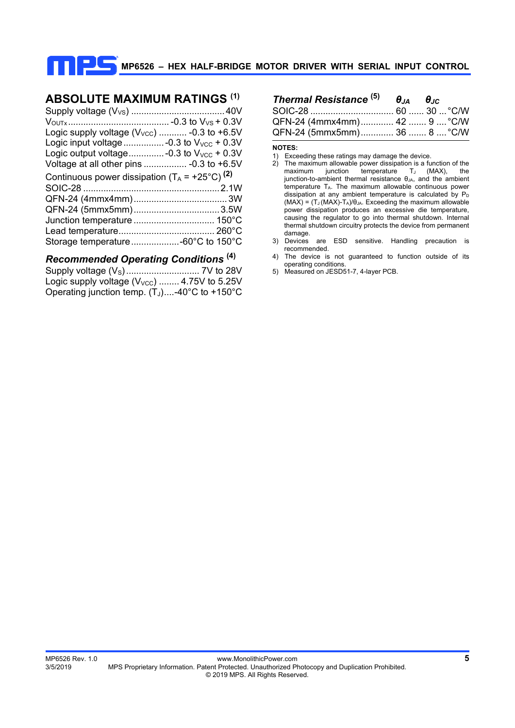## **ABSOLUTE MAXIMUM RATINGS (1)**

| Logic supply voltage $(V_{VCC})$ -0.3 to +6.5V            |  |
|-----------------------------------------------------------|--|
|                                                           |  |
| Logic output voltage-0.3 to $V_{VCC}$ + 0.3V              |  |
| Voltage at all other pins  - 0.3 to +6.5V                 |  |
| Continuous power dissipation $(T_A = +25^{\circ}C)^{(2)}$ |  |
|                                                           |  |
|                                                           |  |
|                                                           |  |
|                                                           |  |
|                                                           |  |
|                                                           |  |
|                                                           |  |

## *Recommended Operating Conditions* **(4)**

| Logic supply voltage $(V_{\text{VCC}})$ 4.75V to 5.25V |  |
|--------------------------------------------------------|--|
| Operating junction temp. $(T_J)$ -40°C to +150°C       |  |

| <b>Thermal Resistance</b> $^{(5)}$ $\theta_{14}$ $\theta_{1C}$ |  |
|----------------------------------------------------------------|--|
|                                                                |  |
| QFN-24 (4mmx4mm) 42  9  °C/W                                   |  |
| QFN-24 (5mmx5mm) 36  8  °C/W                                   |  |

#### **NOTES:**

- 1) Exceeding these ratings may damage the device.
- 2) The maximum allowable power dissipation is a function of the maximum junction temperature  $T_J$  (MAX), the junction-to-ambient thermal resistance  $θ<sub>JA</sub>$ , and the ambient  $t$ emperature  $T_A$ . The maximum allowable continuous power dissipation at any ambient temperature is calculated by  $P_D$  $(MAX) = (T_J (MAX) - T_A)/\theta_{JA}$ . Exceeding the maximum allowable power dissipation produces an excessive die temperature, causing the regulator to go into thermal shutdown. Internal thermal shutdown circuitry protects the device from permanent damage.
- 3) Devices are ESD sensitive. Handling precaution is recommended.
- 4) The device is not guaranteed to function outside of its operating conditions.
- 5) Measured on JESD51-7, 4-layer PCB.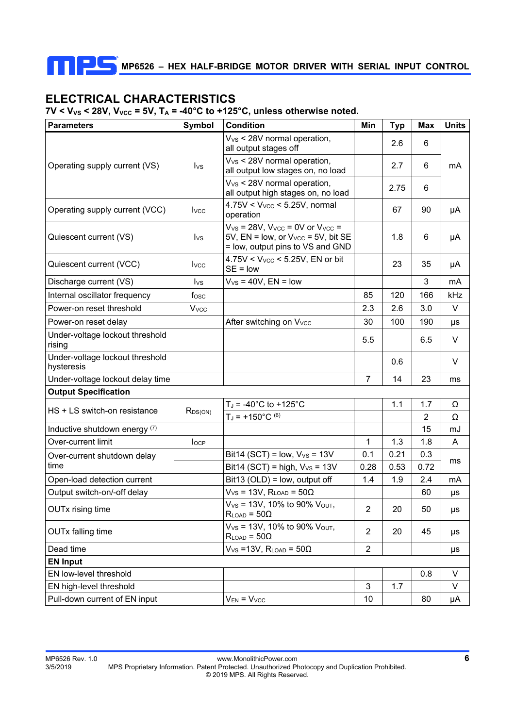# **ELECTRICAL CHARACTERISTICS**

m

 $7V < V_{VS}$  < 28V,  $V_{VCC}$  = 5V,  $T_A$  = -40°C to +125°C, unless otherwise noted.

| <b>Parameters</b>                             | Symbol                  | <b>Condition</b>                                                                                                                   | Min            | <b>Typ</b> | Max  | <b>Units</b> |
|-----------------------------------------------|-------------------------|------------------------------------------------------------------------------------------------------------------------------------|----------------|------------|------|--------------|
|                                               |                         | $V_{VS}$ < 28V normal operation,<br>all output stages off                                                                          |                | 2.6        | 6    |              |
| Operating supply current (VS)                 | $I_{VS}$                | $V_{VS}$ < 28V normal operation,<br>all output low stages on, no load                                                              |                | 2.7        | 6    | mA           |
|                                               |                         | V <sub>vs</sub> < 28V normal operation,<br>all output high stages on, no load                                                      |                | 2.75       | 6    |              |
| Operating supply current (VCC)                | <b>I</b> vcc            | $4.75V < V_{VCC} < 5.25V$ , normal<br>operation                                                                                    |                | 67         | 90   | μA           |
| Quiescent current (VS)                        | $I_{VS}$                | $V_{VS}$ = 28V, $V_{VCC}$ = 0V or $V_{VCC}$ =<br>$5V$ , EN = low, or $V_{VCC}$ = $5V$ , bit SE<br>= low, output pins to VS and GND |                | 1.8        | 6    | μA           |
| Quiescent current (VCC)                       | <b>I</b> vcc            | $4.75V < V_{VCC} < 5.25V$ , EN or bit<br>$SE = low$                                                                                |                | 23         | 35   | μA           |
| Discharge current (VS)                        | $I_{\text{VS}}$         | $V_{VS}$ = 40V, EN = low                                                                                                           |                |            | 3    | mA           |
| Internal oscillator frequency                 | fosc                    |                                                                                                                                    | 85             | 120        | 166  | kHz          |
| Power-on reset threshold                      | <b>V</b> <sub>vcc</sub> |                                                                                                                                    | 2.3            | 2.6        | 3.0  | V            |
| Power-on reset delay                          |                         | After switching on Vvcc                                                                                                            | 30             | 100        | 190  | μs           |
| Under-voltage lockout threshold<br>rising     |                         |                                                                                                                                    | 5.5            |            | 6.5  | V            |
| Under-voltage lockout threshold<br>hysteresis |                         |                                                                                                                                    |                | 0.6        |      | V            |
| Under-voltage lockout delay time              |                         |                                                                                                                                    | $\overline{7}$ | 14         | 23   | ms           |
| <b>Output Specification</b>                   |                         |                                                                                                                                    |                |            |      |              |
| HS + LS switch-on resistance                  | $R_{DS(ON)}$            | $T_J = -40^{\circ}C$ to $+125^{\circ}C$                                                                                            |                | 1.1        | 1.7  | Ω            |
|                                               |                         | $T_J = +150^{\circ}C^{(6)}$                                                                                                        |                |            | 2    | Ω            |
| Inductive shutdown energy (7)                 |                         |                                                                                                                                    |                |            | 15   | mJ           |
| Over-current limit                            | locp                    |                                                                                                                                    | 1              | 1.3        | 1.8  | A            |
| Over-current shutdown delay                   |                         | Bit14 (SCT) = low, $V_{VS}$ = 13V                                                                                                  | 0.1            | 0.21       | 0.3  | ms           |
| time                                          |                         | Bit14 (SCT) = high, $V_{VS}$ = 13V                                                                                                 | 0.28           | 0.53       | 0.72 |              |
| Open-load detection current                   |                         | Bit13 (OLD) = low, output off                                                                                                      | 1.4            | 1.9        | 2.4  | mA           |
| Output switch-on/-off delay                   |                         | $V_{VS}$ = 13V, $R_{LOAD}$ = 50 $\Omega$                                                                                           |                |            | 60   | μs           |
| <b>OUTx rising time</b>                       |                         | $V_{VS}$ = 13V, 10% to 90% $V_{OUT}$ ,<br>$R_{LOAD} = 50\Omega$                                                                    | $\overline{2}$ | 20         | 50   | μs           |
| <b>OUTx falling time</b>                      |                         | $V_{VS}$ = 13V, 10% to 90% $V_{OUT}$ ,<br>$R_{LOAD} = 50\Omega$                                                                    | $\overline{2}$ | 20         | 45   | μs           |
| Dead time                                     |                         | $V_{VS}$ = 13V, RLOAD = 50 $\Omega$                                                                                                | $\overline{2}$ |            |      | μs           |
| <b>EN Input</b>                               |                         |                                                                                                                                    |                |            |      |              |
| EN low-level threshold                        |                         |                                                                                                                                    |                |            | 0.8  | V            |
| EN high-level threshold                       |                         |                                                                                                                                    | 3              | 1.7        |      | V            |
| Pull-down current of EN input                 |                         | $V_{EN} = V_{VCC}$                                                                                                                 | 10             |            | 80   | μA           |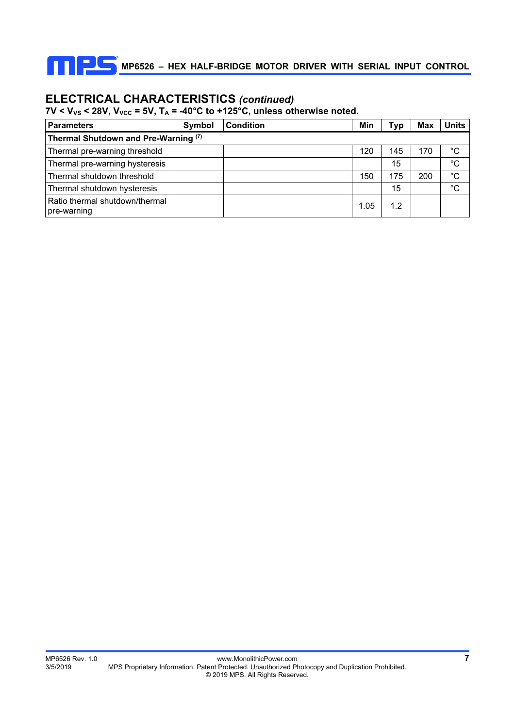

## **ELECTRICAL CHARACTERISTICS** *(continued)*

 $7V < V_{VS} < 28V$ ,  $V_{VCC} = 5V$ ,  $T_A = -40^{\circ}C$  to +125°C, unless otherwise noted.

| <b>Parameters</b>                             | Symbol | <b>Condition</b> |  | Min  | Typ | <b>Max</b> | <b>Units</b> |  |  |  |  |
|-----------------------------------------------|--------|------------------|--|------|-----|------------|--------------|--|--|--|--|
| Thermal Shutdown and Pre-Warning (7)          |        |                  |  |      |     |            |              |  |  |  |  |
| Thermal pre-warning threshold                 |        |                  |  | 120  | 145 | 170        | °C           |  |  |  |  |
| Thermal pre-warning hysteresis                |        |                  |  |      | 15  |            | $^{\circ}C$  |  |  |  |  |
| Thermal shutdown threshold                    |        |                  |  | 150  | 175 | 200        | $^{\circ}C$  |  |  |  |  |
| Thermal shutdown hysteresis                   |        |                  |  |      | 15  |            | °C           |  |  |  |  |
| Ratio thermal shutdown/thermal<br>pre-warning |        |                  |  | 1.05 | 1.2 |            |              |  |  |  |  |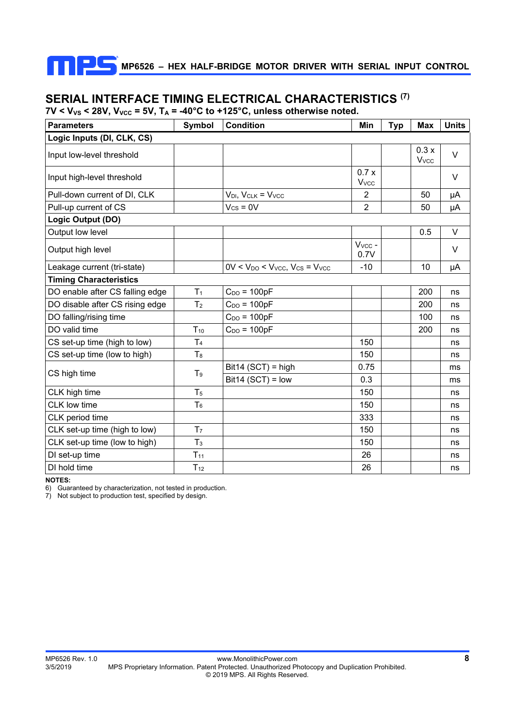# **SERIAL INTERFACE TIMING ELECTRICAL CHARACTERISTICS (7)**

 $7V < V_{VS}$  < 28V,  $V_{VCC}$  = 5V,  $T_A$  = -40°C to +125°C, unless otherwise noted.

| <b>Parameters</b>               | Symbol         | <b>Condition</b>                             | Min                  | <b>Typ</b> | <b>Max</b>                      | <b>Units</b> |
|---------------------------------|----------------|----------------------------------------------|----------------------|------------|---------------------------------|--------------|
| Logic Inputs (DI, CLK, CS)      |                |                                              |                      |            |                                 |              |
| Input low-level threshold       |                |                                              |                      |            | 0.3x<br><b>V</b> <sub>vcc</sub> | V            |
| Input high-level threshold      |                |                                              | 0.7x<br><b>V</b> vcc |            |                                 | $\vee$       |
| Pull-down current of DI, CLK    |                | $V_{DI}$ , $V_{CLK}$ = $V_{VCC}$             | 2                    |            | 50                              | μA           |
| Pull-up current of CS           |                | $V_{CS} = 0V$                                | $\overline{2}$       |            | 50                              | μA           |
| Logic Output (DO)               |                |                                              |                      |            |                                 |              |
| Output low level                |                |                                              |                      |            | 0.5                             | $\vee$       |
| Output high level               |                |                                              | $V_{VCC}$ -<br>0.7V  |            |                                 | V            |
| Leakage current (tri-state)     |                | $0V < V_{DO} < V_{VCC}$ , $V_{CS} = V_{VCC}$ | $-10$                |            | 10                              | μA           |
| <b>Timing Characteristics</b>   |                |                                              |                      |            |                                 |              |
| DO enable after CS falling edge | T <sub>1</sub> | $C_{DO} = 100pF$                             |                      |            | 200                             | ns           |
| DO disable after CS rising edge | T <sub>2</sub> | $C_{DO} = 100pF$                             |                      |            | 200                             | ns           |
| DO falling/rising time          |                | $C_{DO} = 100pF$                             |                      |            | 100                             | ns           |
| DO valid time                   | $T_{10}$       | $C_{DO} = 100pF$                             |                      |            | 200                             | ns           |
| CS set-up time (high to low)    | T <sub>4</sub> |                                              | 150                  |            |                                 | ns           |
| CS set-up time (low to high)    | T <sub>8</sub> |                                              | 150                  |            |                                 | ns           |
| CS high time                    | T <sub>9</sub> | $Bit14 (SCT) = high$                         | 0.75                 |            |                                 | ms           |
|                                 |                | $Bit14 (SCT) = low$                          | 0.3                  |            |                                 | ms           |
| CLK high time                   | T <sub>5</sub> |                                              | 150                  |            |                                 | ns           |
| CLK low time                    | T <sub>6</sub> |                                              | 150                  |            |                                 | ns           |
| CLK period time                 |                |                                              | 333                  |            |                                 | ns           |
| CLK set-up time (high to low)   | T <sub>7</sub> |                                              | 150                  |            |                                 | ns           |
| CLK set-up time (low to high)   | T <sub>3</sub> |                                              | 150                  |            |                                 | ns           |
| DI set-up time                  | $T_{11}$       |                                              | 26                   |            |                                 | ns           |
| DI hold time                    | $T_{12}$       |                                              | 26                   |            |                                 | ns           |

**NOTES:** 

6) Guaranteed by characterization, not tested in production.

7) Not subject to production test, specified by design.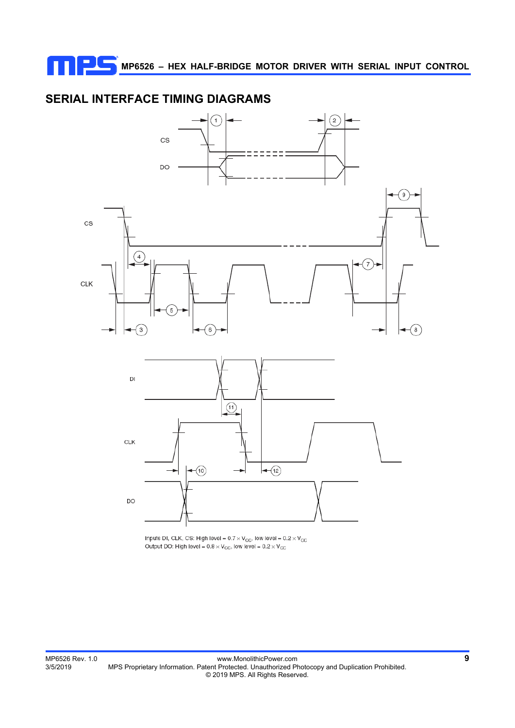# **SERIAL INTERFACE TIMING DIAGRAMS**



Inputs DI, CLK, CS: High level =  $0.7 \times V_{\rm CC}$ , low level =  $0.2 \times V_{\rm CC}$ <br>Output DO: High level =  $0.8 \times V_{\rm CC}$ , low level =  $0.2 \times V_{\rm CC}$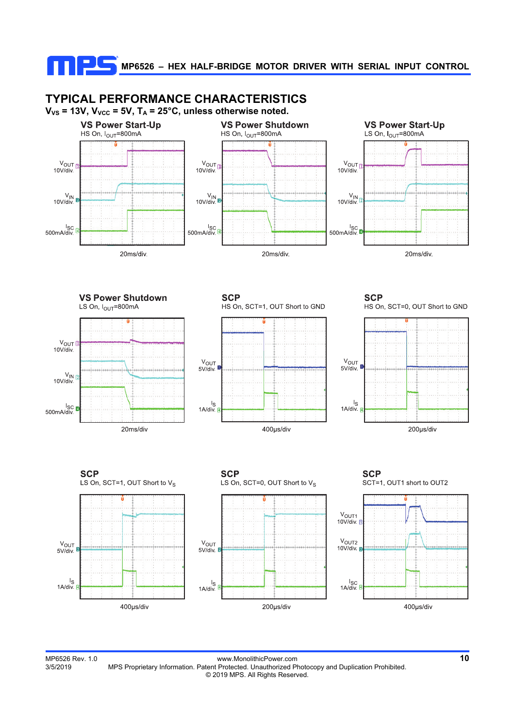

MP6526 Rev. 1.0 www.MonolithicPower.com **10** MPS Proprietary Information. Patent Protected. Unauthorized Photocopy and Duplication Prohibited. © 2019 MPS. All Rights Reserved.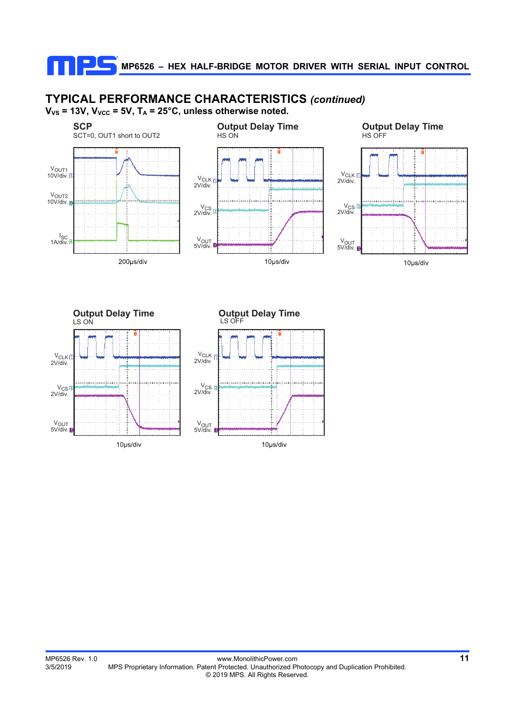# **TYPICAL PERFORMANCE CHARACTERISTICS** *(continued)*

 $V_{VS}$  = 13V,  $V_{VCC}$  = 5V,  $T_A$  = 25°C, unless otherwise noted.





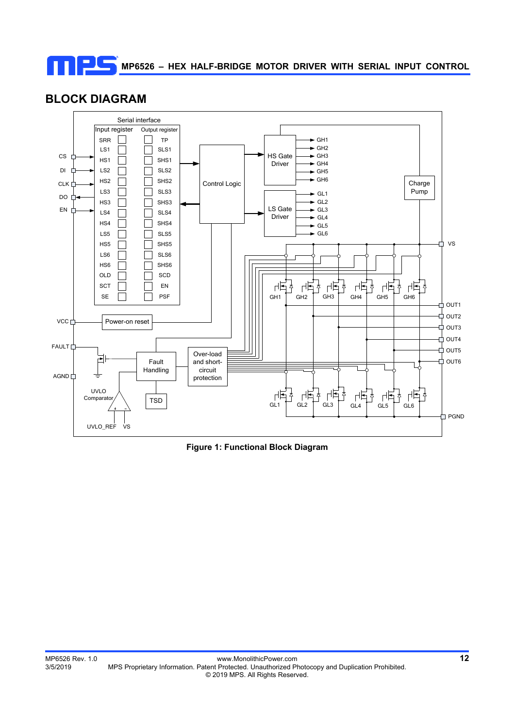

## **BLOCK DIAGRAM**



**Figure 1: Functional Block Diagram**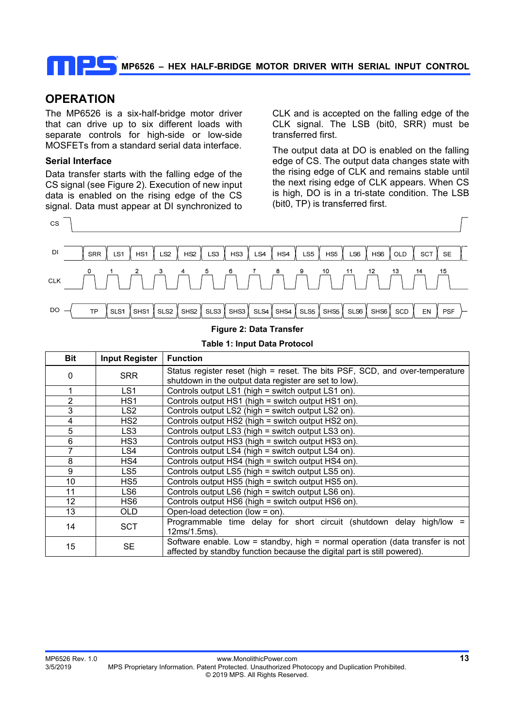## **OPERATION**

The MP6526 is a six-half-bridge motor driver that can drive up to six different loads with separate controls for high-side or low-side MOSFETs from a standard serial data interface.

#### **Serial Interface**

Data transfer starts with the falling edge of the CS signal (see Figure 2). Execution of new input data is enabled on the rising edge of the CS signal. Data must appear at DI synchronized to

CLK and is accepted on the falling edge of the CLK signal. The LSB (bit0, SRR) must be transferred first.

The output data at DO is enabled on the falling edge of CS. The output data changes state with the rising edge of CLK and remains stable until the next rising edge of CLK appears. When CS is high, DO is in a tri-state condition. The LSB (bit0, TP) is transferred first.



# **Table 1: Input Data Protocol**

| Bit | <b>Input Register</b> | <b>Function</b>                                                                                                                                           |
|-----|-----------------------|-----------------------------------------------------------------------------------------------------------------------------------------------------------|
| 0   | <b>SRR</b>            | Status register reset (high = reset. The bits PSF, SCD, and over-temperature<br>shutdown in the output data register are set to low).                     |
| 1   | LS1                   | Controls output LS1 (high = switch output LS1 on).                                                                                                        |
| 2   | HS <sub>1</sub>       | Controls output HS1 (high = switch output HS1 on).                                                                                                        |
| 3   | LS <sub>2</sub>       | Controls output LS2 (high = switch output LS2 on).                                                                                                        |
| 4   | HS <sub>2</sub>       | Controls output HS2 (high = switch output HS2 on).                                                                                                        |
| 5   | LS <sub>3</sub>       | Controls output LS3 (high = switch output LS3 on).                                                                                                        |
| 6   | HS3                   | Controls output HS3 (high = switch output HS3 on).                                                                                                        |
| 7   | LS4                   | Controls output LS4 (high = switch output LS4 on).                                                                                                        |
| 8   | HS4                   | Controls output HS4 (high = switch output HS4 on).                                                                                                        |
| 9   | LS5                   | Controls output LS5 (high = switch output LS5 on).                                                                                                        |
| 10  | HS <sub>5</sub>       | Controls output HS5 (high = switch output HS5 on).                                                                                                        |
| 11  | LS6                   | Controls output LS6 (high = switch output LS6 on).                                                                                                        |
| 12  | HS6                   | Controls output HS6 (high = switch output HS6 on).                                                                                                        |
| 13  | OLD                   | Open-load detection (low = on).                                                                                                                           |
| 14  | <b>SCT</b>            | Programmable time delay for short circuit (shutdown delay high/low<br>12ms/1.5ms).                                                                        |
| 15  | <b>SE</b>             | Software enable. Low = standby, high = normal operation (data transfer is not<br>affected by standby function because the digital part is still powered). |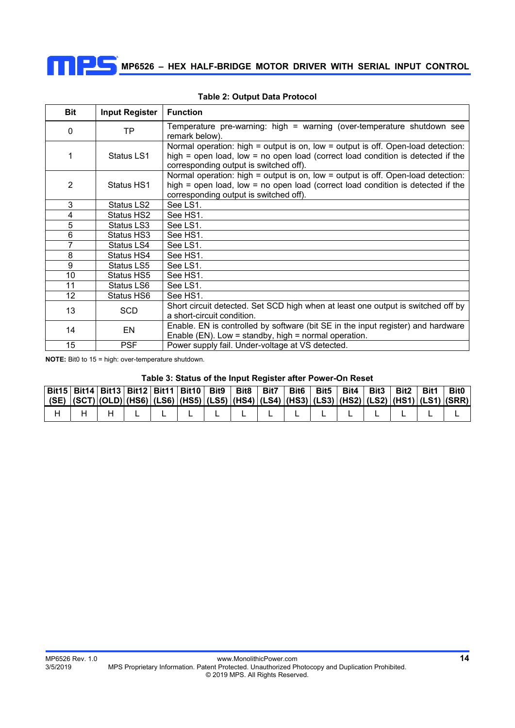

| <b>Bit</b>      | <b>Input Register</b> | <b>Function</b>                                                                                                                                                                                               |
|-----------------|-----------------------|---------------------------------------------------------------------------------------------------------------------------------------------------------------------------------------------------------------|
| 0               | <b>TP</b>             | Temperature pre-warning: high = warning (over-temperature shutdown see<br>remark below).                                                                                                                      |
| 1               | Status LS1            | Normal operation: high = output is on, low = output is off. Open-load detection:<br>high = open load, low = no open load (correct load condition is detected if the<br>corresponding output is switched off). |
| 2               | Status HS1            | Normal operation: high = output is on, low = output is off. Open-load detection:<br>high = open load, low = no open load (correct load condition is detected if the<br>corresponding output is switched off). |
| 3               | Status LS2            | See LS1.                                                                                                                                                                                                      |
| 4               | Status HS2            | See HS1.                                                                                                                                                                                                      |
| 5               | Status LS3            | See LS1.                                                                                                                                                                                                      |
| 6               | Status HS3            | See HS1.                                                                                                                                                                                                      |
| 7               | Status LS4            | See LS1.                                                                                                                                                                                                      |
| 8               | Status HS4            | See HS1.                                                                                                                                                                                                      |
| 9               | Status LS5            | See LS1.                                                                                                                                                                                                      |
| 10              | Status HS5            | See HS1.                                                                                                                                                                                                      |
| 11              | Status LS6            | See LS1.                                                                                                                                                                                                      |
| 12 <sub>2</sub> | Status HS6            | See HS1.                                                                                                                                                                                                      |
| 13              | SCD                   | Short circuit detected. Set SCD high when at least one output is switched off by<br>a short-circuit condition.                                                                                                |
| 14              | EN                    | Enable. EN is controlled by software (bit SE in the input register) and hardware<br>Enable (EN). Low = standby, high = normal operation.                                                                      |
| 15              | <b>PSF</b>            | Power supply fail. Under-voltage at VS detected.                                                                                                                                                              |

### **Table 2: Output Data Protocol**

**NOTE:** Bit0 to 15 = high: over-temperature shutdown.

#### **Table 3: Status of the Input Register after Power-On Reset**

| Bit15 Bit14 Bit13 Bit12 Bit11 Bit10 Bit9 Bit8 Bit7 Bit6 Bit5 Bit4 Bit3 Bit2 Bit2                |  |  |  |  |  |  |  | <b>Bit0</b> |
|-------------------------------------------------------------------------------------------------|--|--|--|--|--|--|--|-------------|
| (SE)  (SCT) (OLD) (HS6) (LS6) (HS5) (LS5) (HS4) (LS4) (HS3) (LS3) (HS2) (LS2) (HS1) (LS1) (SRR) |  |  |  |  |  |  |  |             |
|                                                                                                 |  |  |  |  |  |  |  |             |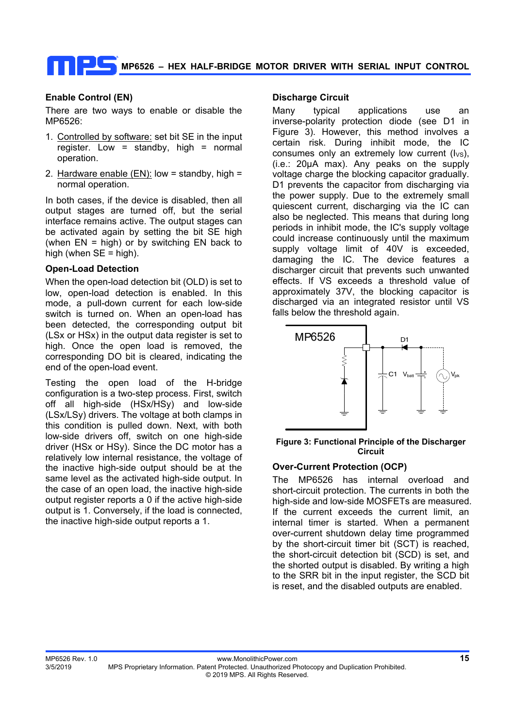## **Enable Control (EN)**

There are two ways to enable or disable the MP6526:

- 1. Controlled by software: set bit SE in the input register. Low = standby, high = normal operation.
- 2. Hardware enable (EN): low = standby, high = normal operation.

In both cases, if the device is disabled, then all output stages are turned off, but the serial interface remains active. The output stages can be activated again by setting the bit SE high (when  $EN =$  high) or by switching  $EN$  back to high (when  $SE =$  high).

### **Open-Load Detection**

When the open-load detection bit (OLD) is set to low, open-load detection is enabled. In this mode, a pull-down current for each low-side switch is turned on. When an open-load has been detected, the corresponding output bit (LSx or HSx) in the output data register is set to high. Once the open load is removed, the corresponding DO bit is cleared, indicating the end of the open-load event.

Testing the open load of the H-bridge configuration is a two-step process. First, switch off all high-side (HSx/HSy) and low-side (LSx/LSy) drivers. The voltage at both clamps in this condition is pulled down. Next, with both low-side drivers off, switch on one high-side driver (HSx or HSy). Since the DC motor has a relatively low internal resistance, the voltage of the inactive high-side output should be at the same level as the activated high-side output. In the case of an open load, the inactive high-side output register reports a 0 if the active high-side output is 1. Conversely, if the load is connected, the inactive high-side output reports a 1.

#### **Discharge Circuit**

Many typical applications use an inverse-polarity protection diode (see D1 in Figure 3). However, this method involves a certain risk. During inhibit mode, the IC consumes only an extremely low current  $(I_{\vee s})$ , (i.e.: 20μA max). Any peaks on the supply voltage charge the blocking capacitor gradually. D1 prevents the capacitor from discharging via the power supply. Due to the extremely small quiescent current, discharging via the IC can also be neglected. This means that during long periods in inhibit mode, the IC's supply voltage could increase continuously until the maximum supply voltage limit of 40V is exceeded, damaging the IC. The device features a discharger circuit that prevents such unwanted effects. If VS exceeds a threshold value of approximately 37V, the blocking capacitor is discharged via an integrated resistor until VS falls below the threshold again.



#### **Figure 3: Functional Principle of the Discharger Circuit**

### **Over-Current Protection (OCP)**

The MP6526 has internal overload and short-circuit protection. The currents in both the high-side and low-side MOSFETs are measured. If the current exceeds the current limit, an internal timer is started. When a permanent over-current shutdown delay time programmed by the short-circuit timer bit (SCT) is reached, the short-circuit detection bit (SCD) is set, and the shorted output is disabled. By writing a high to the SRR bit in the input register, the SCD bit is reset, and the disabled outputs are enabled.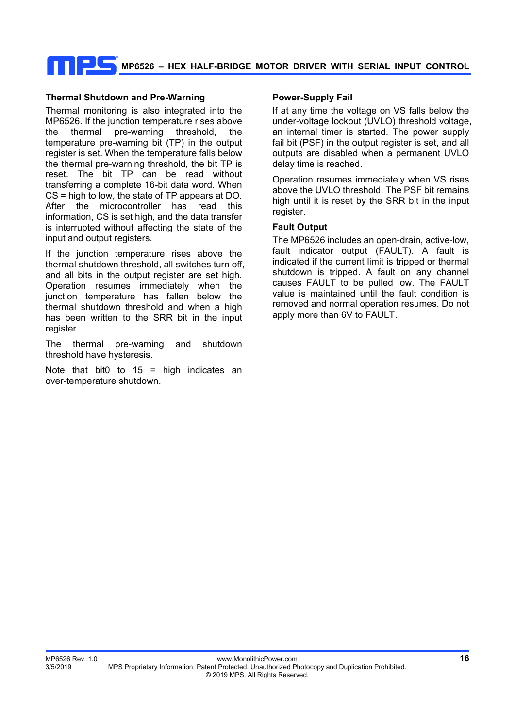## **Thermal Shutdown and Pre-Warning**

Thermal monitoring is also integrated into the MP6526. If the junction temperature rises above the thermal pre-warning threshold, the temperature pre-warning bit (TP) in the output register is set. When the temperature falls below the thermal pre-warning threshold, the bit TP is reset. The bit TP can be read without transferring a complete 16-bit data word. When CS = high to low, the state of TP appears at DO. After the microcontroller has read this information, CS is set high, and the data transfer is interrupted without affecting the state of the input and output registers.

If the junction temperature rises above the thermal shutdown threshold, all switches turn off, and all bits in the output register are set high. Operation resumes immediately when the junction temperature has fallen below the thermal shutdown threshold and when a high has been written to the SRR bit in the input register.

The thermal pre-warning and shutdown threshold have hysteresis.

Note that bit0 to  $15 =$  high indicates an over-temperature shutdown.

### **Power-Supply Fail**

If at any time the voltage on VS falls below the under-voltage lockout (UVLO) threshold voltage, an internal timer is started. The power supply fail bit (PSF) in the output register is set, and all outputs are disabled when a permanent UVLO delay time is reached.

Operation resumes immediately when VS rises above the UVLO threshold. The PSF bit remains high until it is reset by the SRR bit in the input register.

## **Fault Output**

The MP6526 includes an open-drain, active-low, fault indicator output (FAULT). A fault is indicated if the current limit is tripped or thermal shutdown is tripped. A fault on any channel causes FAULT to be pulled low. The FAULT value is maintained until the fault condition is removed and normal operation resumes. Do not apply more than 6V to FAULT.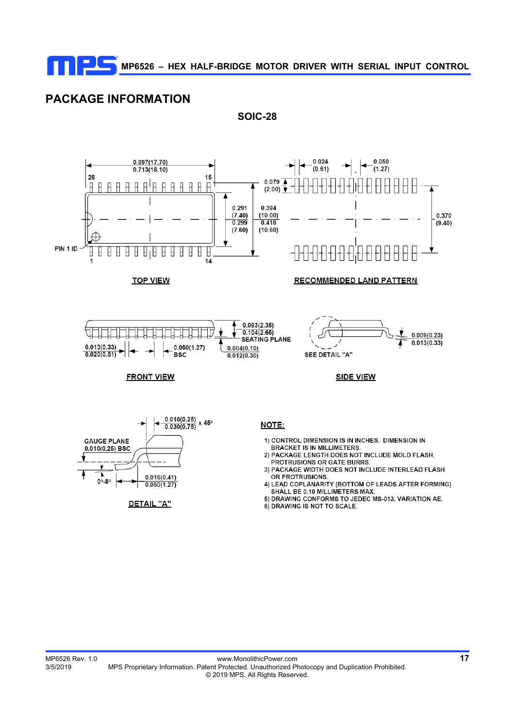**SOIC-28** 

# **PACKAGE INFORMATION**



6) DRAWING IS NOT TO SCALE.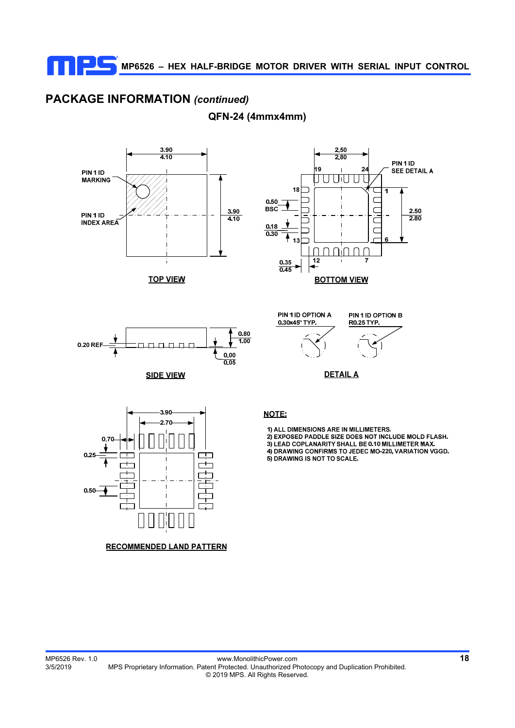# **PACKAGE INFORMATION** *(continued)*

**QFN-24 (4mmx4mm)** 



**TOP VIEW** 





**SIDE VIEW** 





1) ALL DIMENSIONS ARE IN MILLIMETERS. 2) EXPOSED PADDLE SIZE DOES NOT INCLUDE MOLD FLASH. 3) LEAD COPLANARITY SHALL BE 0.10 MILLIMETER MAX. 4) DRAWING CONFIRMS TO JEDEC MO-220, VARIATION VGGD. 5) DRAWING IS NOT TO SCALE.



## **RECOMMENDED LAND PATTERN**